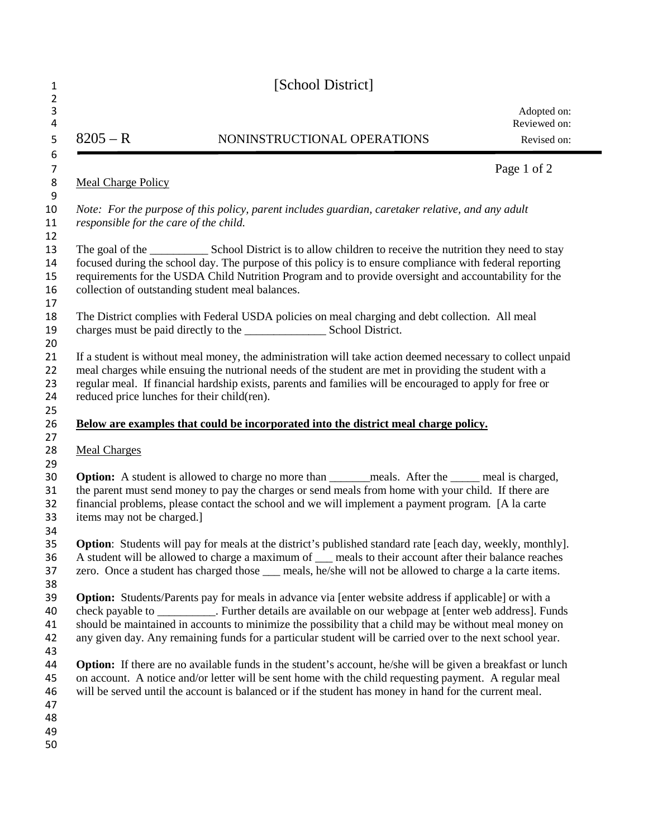| $8205 - R$<br>NONINSTRUCTIONAL OPERATIONS<br><b>Meal Charge Policy</b>                                                                                                                                                                                                                                                                                                                                                                          | Adopted on:<br>Reviewed on:<br>Revised on: |
|-------------------------------------------------------------------------------------------------------------------------------------------------------------------------------------------------------------------------------------------------------------------------------------------------------------------------------------------------------------------------------------------------------------------------------------------------|--------------------------------------------|
|                                                                                                                                                                                                                                                                                                                                                                                                                                                 |                                            |
|                                                                                                                                                                                                                                                                                                                                                                                                                                                 | Page 1 of 2                                |
|                                                                                                                                                                                                                                                                                                                                                                                                                                                 |                                            |
| Note: For the purpose of this policy, parent includes guardian, caretaker relative, and any adult<br>responsible for the care of the child.                                                                                                                                                                                                                                                                                                     |                                            |
| focused during the school day. The purpose of this policy is to ensure compliance with federal reporting<br>requirements for the USDA Child Nutrition Program and to provide oversight and accountability for the<br>collection of outstanding student meal balances.                                                                                                                                                                           |                                            |
| The District complies with Federal USDA policies on meal charging and debt collection. All meal                                                                                                                                                                                                                                                                                                                                                 |                                            |
| If a student is without meal money, the administration will take action deemed necessary to collect unpaid<br>meal charges while ensuing the nutrional needs of the student are met in providing the student with a<br>regular meal. If financial hardship exists, parents and families will be encouraged to apply for free or<br>reduced price lunches for their child(ren).                                                                  |                                            |
| Below are examples that could be incorporated into the district meal charge policy.                                                                                                                                                                                                                                                                                                                                                             |                                            |
| <b>Meal Charges</b>                                                                                                                                                                                                                                                                                                                                                                                                                             |                                            |
| Option: A student is allowed to charge no more than ______ meals. After the ____ meal is charged,<br>the parent must send money to pay the charges or send meals from home with your child. If there are<br>financial problems, please contact the school and we will implement a payment program. [A la carte<br>items may not be charged.]                                                                                                    |                                            |
| <b>Option:</b> Students will pay for meals at the district's published standard rate [each day, weekly, monthly].<br>A student will be allowed to charge a maximum of ___ meals to their account after their balance reaches<br>zero. Once a student has charged those __ meals, he/she will not be allowed to charge a la carte items.                                                                                                         |                                            |
| <b>Option:</b> Students/Parents pay for meals in advance via [enter website address if applicable] or with a<br>check payable to ___________. Further details are available on our webpage at [enter web address]. Funds<br>should be maintained in accounts to minimize the possibility that a child may be without meal money on<br>any given day. Any remaining funds for a particular student will be carried over to the next school year. |                                            |
| <b>Option:</b> If there are no available funds in the student's account, he/she will be given a breakfast or lunch<br>on account. A notice and/or letter will be sent home with the child requesting payment. A regular meal<br>will be served until the account is balanced or if the student has money in hand for the current meal.                                                                                                          |                                            |